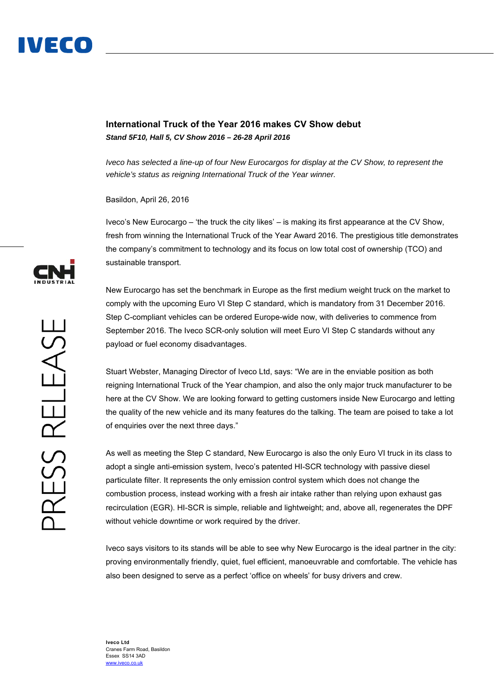

# **International Truck of the Year 2016 makes CV Show debut**  *Stand 5F10, Hall 5, CV Show 2016 – 26-28 April 2016*

*Iveco has selected a line-up of four New Eurocargos for display at the CV Show, to represent the vehicle's status as reigning International Truck of the Year winner.* 

Basildon, April 26, 2016

Iveco's New Eurocargo – 'the truck the city likes' – is making its first appearance at the CV Show, fresh from winning the International Truck of the Year Award 2016. The prestigious title demonstrates the company's commitment to technology and its focus on low total cost of ownership (TCO) and sustainable transport.

New Eurocargo has set the benchmark in Europe as the first medium weight truck on the market to comply with the upcoming Euro VI Step C standard, which is mandatory from 31 December 2016. Step C-compliant vehicles can be ordered Europe-wide now, with deliveries to commence from September 2016. The Iveco SCR-only solution will meet Euro VI Step C standards without any payload or fuel economy disadvantages.

Stuart Webster, Managing Director of Iveco Ltd, says: "We are in the enviable position as both reigning International Truck of the Year champion, and also the only major truck manufacturer to be here at the CV Show. We are looking forward to getting customers inside New Eurocargo and letting the quality of the new vehicle and its many features do the talking. The team are poised to take a lot of enquiries over the next three days."

As well as meeting the Step C standard, New Eurocargo is also the only Euro VI truck in its class to adopt a single anti-emission system, Iveco's patented HI-SCR technology with passive diesel particulate filter. It represents the only emission control system which does not change the combustion process, instead working with a fresh air intake rather than relying upon exhaust gas recirculation (EGR). HI-SCR is simple, reliable and lightweight; and, above all, regenerates the DPF without vehicle downtime or work required by the driver.

Iveco says visitors to its stands will be able to see why New Eurocargo is the ideal partner in the city: proving environmentally friendly, quiet, fuel efficient, manoeuvrable and comfortable. The vehicle has also been designed to serve as a perfect 'office on wheels' for busy drivers and crew.

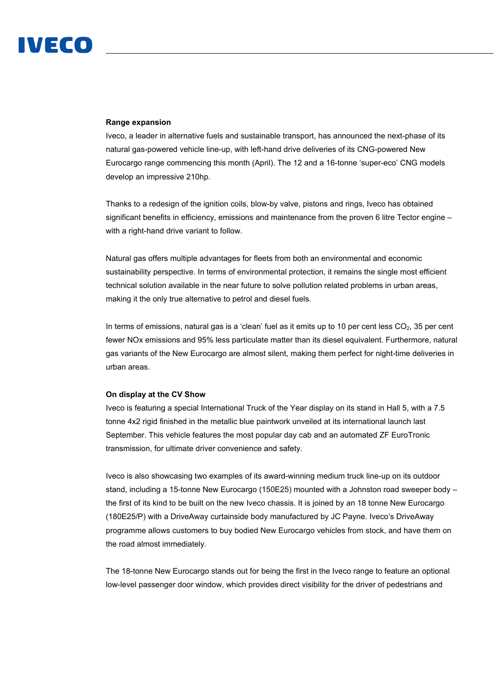# IVECO

## **Range expansion**

Iveco, a leader in alternative fuels and sustainable transport, has announced the next-phase of its natural gas-powered vehicle line-up, with left-hand drive deliveries of its CNG-powered New Eurocargo range commencing this month (April). The 12 and a 16-tonne 'super-eco' CNG models develop an impressive 210hp.

Thanks to a redesign of the ignition coils, blow-by valve, pistons and rings, Iveco has obtained significant benefits in efficiency, emissions and maintenance from the proven 6 litre Tector engine – with a right-hand drive variant to follow.

Natural gas offers multiple advantages for fleets from both an environmental and economic sustainability perspective. In terms of environmental protection, it remains the single most efficient technical solution available in the near future to solve pollution related problems in urban areas, making it the only true alternative to petrol and diesel fuels.

In terms of emissions, natural gas is a 'clean' fuel as it emits up to 10 per cent less  $CO<sub>2</sub>$ , 35 per cent fewer NOx emissions and 95% less particulate matter than its diesel equivalent. Furthermore, natural gas variants of the New Eurocargo are almost silent, making them perfect for night-time deliveries in urban areas.

### **On display at the CV Show**

Iveco is featuring a special International Truck of the Year display on its stand in Hall 5, with a 7.5 tonne 4x2 rigid finished in the metallic blue paintwork unveiled at its international launch last September. This vehicle features the most popular day cab and an automated ZF EuroTronic transmission, for ultimate driver convenience and safety.

Iveco is also showcasing two examples of its award-winning medium truck line-up on its outdoor stand, including a 15-tonne New Eurocargo (150E25) mounted with a Johnston road sweeper body – the first of its kind to be built on the new Iveco chassis. It is joined by an 18 tonne New Eurocargo (180E25/P) with a DriveAway curtainside body manufactured by JC Payne. Iveco's DriveAway programme allows customers to buy bodied New Eurocargo vehicles from stock, and have them on the road almost immediately.

The 18-tonne New Eurocargo stands out for being the first in the Iveco range to feature an optional low-level passenger door window, which provides direct visibility for the driver of pedestrians and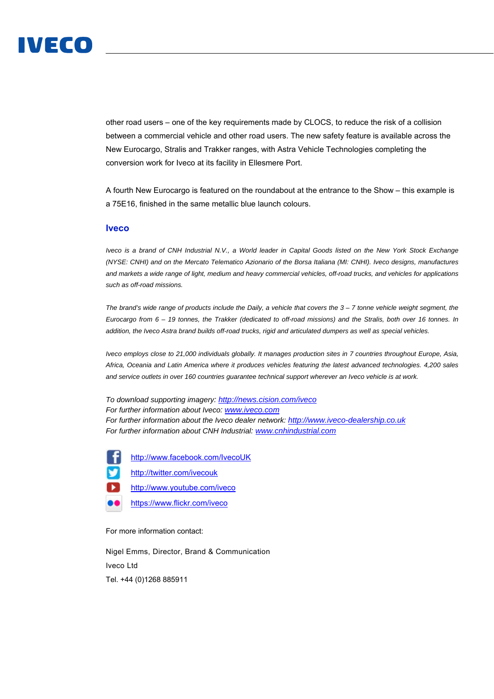

other road users – one of the key requirements made by CLOCS, to reduce the risk of a collision between a commercial vehicle and other road users. The new safety feature is available across the New Eurocargo, Stralis and Trakker ranges, with Astra Vehicle Technologies completing the conversion work for Iveco at its facility in Ellesmere Port.

A fourth New Eurocargo is featured on the roundabout at the entrance to the Show – this example is a 75E16, finished in the same metallic blue launch colours.

### **Iveco**

*Iveco is a brand of CNH Industrial N.V., a World leader in Capital Goods listed on the New York Stock Exchange (NYSE: CNHI) and on the Mercato Telematico Azionario of the Borsa Italiana (MI: CNHI). Iveco designs, manufactures and markets a wide range of light, medium and heavy commercial vehicles, off-road trucks, and vehicles for applications such as off-road missions.* 

*The brand's wide range of products include the Daily, a vehicle that covers the 3 – 7 tonne vehicle weight segment, the Eurocargo from 6 – 19 tonnes, the Trakker (dedicated to off-road missions) and the Stralis, both over 16 tonnes. In addition, the Iveco Astra brand builds off-road trucks, rigid and articulated dumpers as well as special vehicles.* 

*Iveco employs close to 21,000 individuals globally. It manages production sites in 7 countries throughout Europe, Asia, Africa, Oceania and Latin America where it produces vehicles featuring the latest advanced technologies. 4,200 sales and service outlets in over 160 countries guarantee technical support wherever an Iveco vehicle is at work.* 

*To download supporting imagery: http://news.cision.com/iveco For further information about Iveco: www.iveco.com For further information about the Iveco dealer network: http://www.iveco-dealership.co.uk For further information about CNH Industrial: www.cnhindustrial.com*

http://www.facebook.com/IvecoUK

http://twitter.com/ivecouk

D. http://www.youtube.com/iveco

ß۵ https://www.flickr.com/iveco

For more information contact:

Nigel Emms, Director, Brand & Communication Iveco Ltd Tel. +44 (0)1268 885911